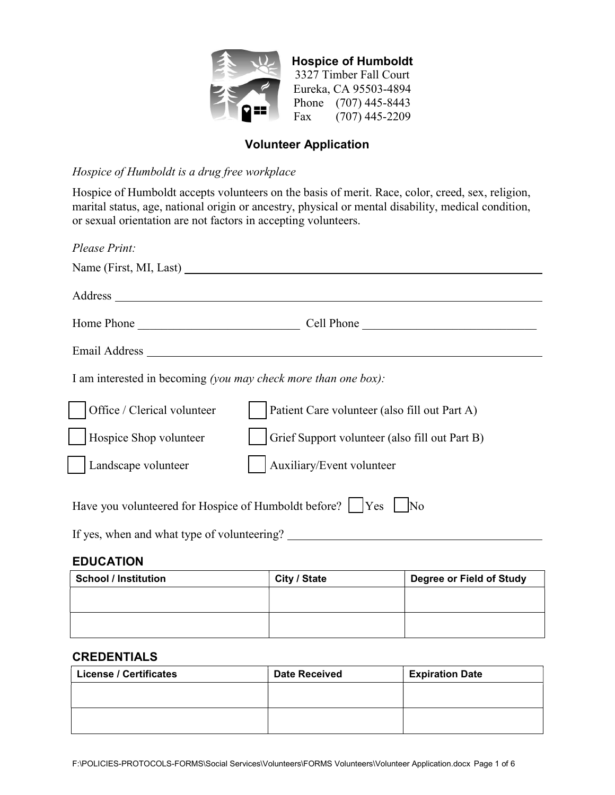

Hospice of Humboldt 3327 Timber Fall Court Eureka, CA 95503-4894 Phone (707) 445-8443 Fax (707) 445-2209

# Volunteer Application

### Hospice of Humboldt is a drug free workplace

Hospice of Humboldt accepts volunteers on the basis of merit. Race, color, creed, sex, religion, marital status, age, national origin or ancestry, physical or mental disability, medical condition, or sexual orientation are not factors in accepting volunteers.

| Please Print:                                                  |                                                |
|----------------------------------------------------------------|------------------------------------------------|
|                                                                | Name (First, MI, Last)                         |
|                                                                |                                                |
| Home Phone                                                     | Cell Phone                                     |
|                                                                |                                                |
| I am interested in becoming (you may check more than one box): |                                                |
| Office / Clerical volunteer                                    | Patient Care volunteer (also fill out Part A)  |
| Hospice Shop volunteer                                         | Grief Support volunteer (also fill out Part B) |
| Landscape volunteer                                            | Auxiliary/Event volunteer                      |
| Have you volunteered for Hospice of Humboldt before?           | <b>Yes</b><br>$\overline{\rm No}$              |

If yes, when and what type of volunteering?

# **EDUCATION**

| <b>School / Institution</b> | City / State | <b>Degree or Field of Study</b> |
|-----------------------------|--------------|---------------------------------|
|                             |              |                                 |
|                             |              |                                 |
|                             |              |                                 |

# CREDENTIALS

| <b>License / Certificates</b> | <b>Date Received</b> | <b>Expiration Date</b> |
|-------------------------------|----------------------|------------------------|
|                               |                      |                        |
|                               |                      |                        |
|                               |                      |                        |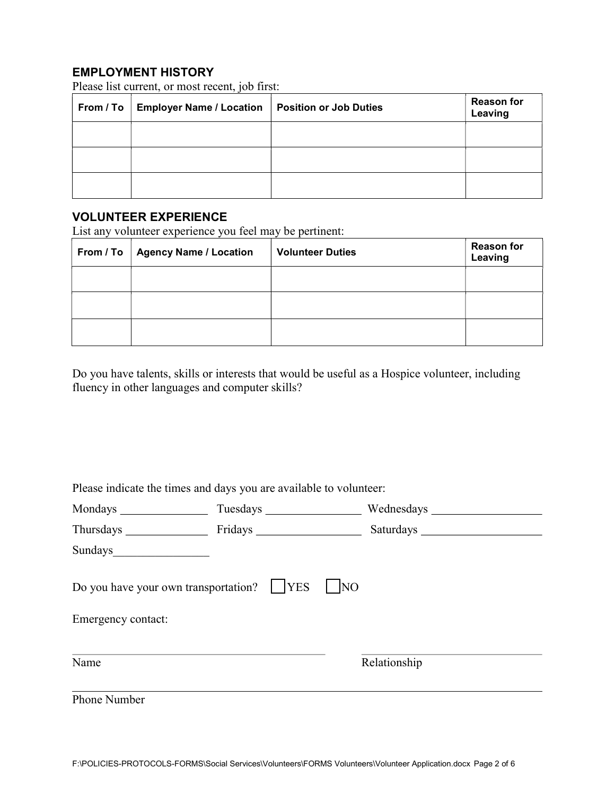# EMPLOYMENT HISTORY

Please list current, or most recent, job first:

| From / To   Employer Name / Location | <b>Position or Job Duties</b> | <b>Reason for</b><br>Leaving |
|--------------------------------------|-------------------------------|------------------------------|
|                                      |                               |                              |
|                                      |                               |                              |
|                                      |                               |                              |

# VOLUNTEER EXPERIENCE

List any volunteer experience you feel may be pertinent:

| From / To   Agency Name / Location | <b>Volunteer Duties</b> | <b>Reason for</b><br>Leaving |
|------------------------------------|-------------------------|------------------------------|
|                                    |                         |                              |
|                                    |                         |                              |
|                                    |                         |                              |

Do you have talents, skills or interests that would be useful as a Hospice volunteer, including fluency in other languages and computer skills?

Please indicate the times and days you are available to volunteer:

| Mondays Monday Monday Street Street Street Street Street Street Street Street Street Street Street Street Street Street Street Street Street Street Street Street Street Street Street Street Street Street Street Street Stre | Tuesdays <b>Exercise 2018</b> |                                                                                                                                                                                                                               |
|--------------------------------------------------------------------------------------------------------------------------------------------------------------------------------------------------------------------------------|-------------------------------|-------------------------------------------------------------------------------------------------------------------------------------------------------------------------------------------------------------------------------|
| Thursdays Thursday                                                                                                                                                                                                             |                               | Saturdays and the state of the state of the state of the state of the state of the state of the state of the state of the state of the state of the state of the state of the state of the state of the state of the state of |
| Sundays                                                                                                                                                                                                                        |                               |                                                                                                                                                                                                                               |
| Do you have your own transportation?     YES<br>Emergency contact:                                                                                                                                                             | N <sub>O</sub>                |                                                                                                                                                                                                                               |
| Name                                                                                                                                                                                                                           |                               | Relationship                                                                                                                                                                                                                  |
| Phone Number                                                                                                                                                                                                                   |                               |                                                                                                                                                                                                                               |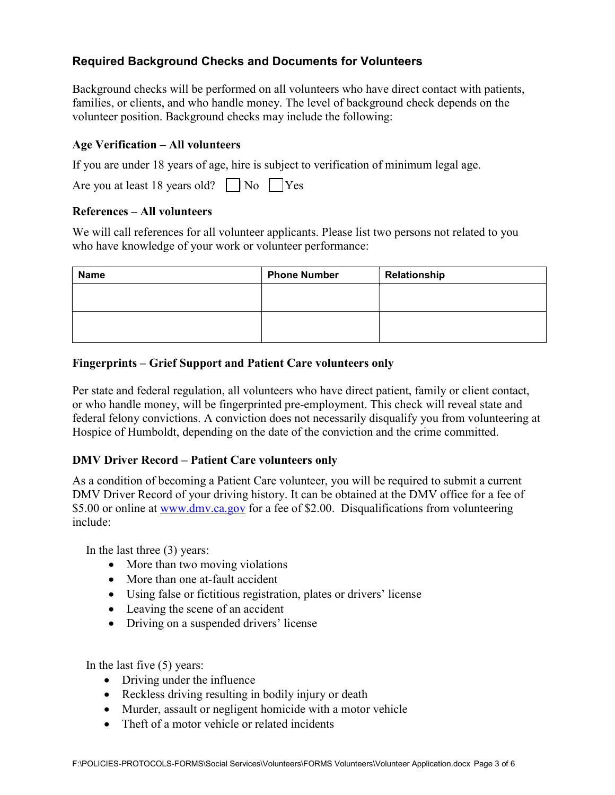# Required Background Checks and Documents for Volunteers

Background checks will be performed on all volunteers who have direct contact with patients, families, or clients, and who handle money. The level of background check depends on the volunteer position. Background checks may include the following:

### Age Verification – All volunteers

If you are under 18 years of age, hire is subject to verification of minimum legal age.

Are you at least 18 years old?  $\Box$  No  $\Box$  Yes

#### References – All volunteers

We will call references for all volunteer applicants. Please list two persons not related to you who have knowledge of your work or volunteer performance:

| <b>Name</b> | <b>Phone Number</b> | Relationship |
|-------------|---------------------|--------------|
|             |                     |              |
|             |                     |              |
|             |                     |              |
|             |                     |              |

# Fingerprints – Grief Support and Patient Care volunteers only

Per state and federal regulation, all volunteers who have direct patient, family or client contact, or who handle money, will be fingerprinted pre-employment. This check will reveal state and federal felony convictions. A conviction does not necessarily disqualify you from volunteering at Hospice of Humboldt, depending on the date of the conviction and the crime committed.

# DMV Driver Record – Patient Care volunteers only

As a condition of becoming a Patient Care volunteer, you will be required to submit a current DMV Driver Record of your driving history. It can be obtained at the DMV office for a fee of \$5.00 or online at www.dmv.ca.gov for a fee of \$2.00. Disqualifications from volunteering include:

In the last three (3) years:

- More than two moving violations
- More than one at-fault accident
- Using false or fictitious registration, plates or drivers' license
- Leaving the scene of an accident
- Driving on a suspended drivers' license

In the last five (5) years:

- Driving under the influence
- Reckless driving resulting in bodily injury or death
- Murder, assault or negligent homicide with a motor vehicle
- Theft of a motor vehicle or related incidents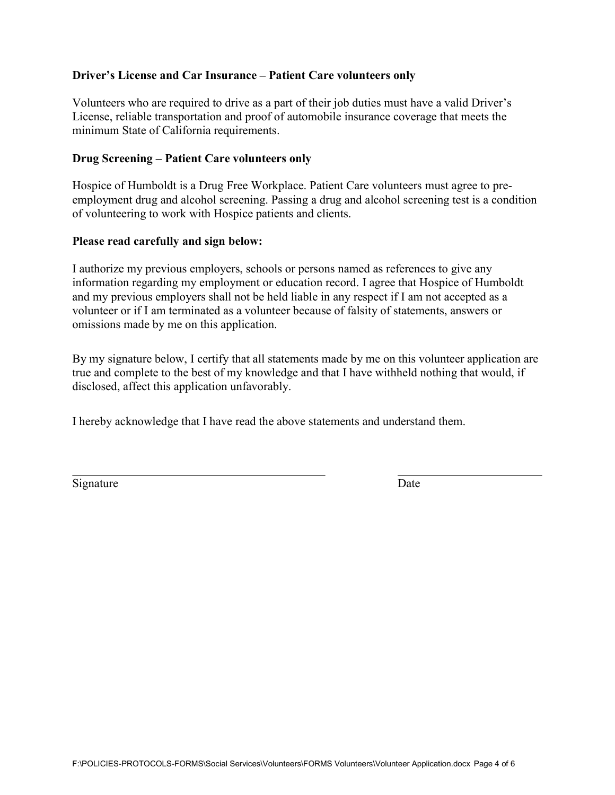#### Driver's License and Car Insurance – Patient Care volunteers only

Volunteers who are required to drive as a part of their job duties must have a valid Driver's License, reliable transportation and proof of automobile insurance coverage that meets the minimum State of California requirements.

#### Drug Screening – Patient Care volunteers only

Hospice of Humboldt is a Drug Free Workplace. Patient Care volunteers must agree to preemployment drug and alcohol screening. Passing a drug and alcohol screening test is a condition of volunteering to work with Hospice patients and clients.

#### Please read carefully and sign below:

I authorize my previous employers, schools or persons named as references to give any information regarding my employment or education record. I agree that Hospice of Humboldt and my previous employers shall not be held liable in any respect if I am not accepted as a volunteer or if I am terminated as a volunteer because of falsity of statements, answers or omissions made by me on this application.

By my signature below, I certify that all statements made by me on this volunteer application are true and complete to the best of my knowledge and that I have withheld nothing that would, if disclosed, affect this application unfavorably.

I hereby acknowledge that I have read the above statements and understand them.

Signature Date

 $\overline{a}$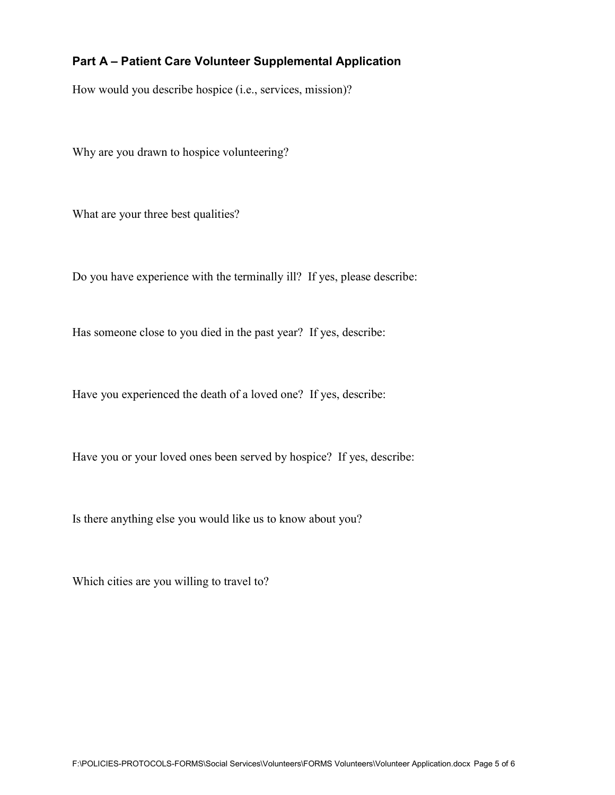# Part A – Patient Care Volunteer Supplemental Application

How would you describe hospice (i.e., services, mission)?

Why are you drawn to hospice volunteering?

What are your three best qualities?

Do you have experience with the terminally ill? If yes, please describe:

Has someone close to you died in the past year? If yes, describe:

Have you experienced the death of a loved one? If yes, describe:

Have you or your loved ones been served by hospice? If yes, describe:

Is there anything else you would like us to know about you?

Which cities are you willing to travel to?